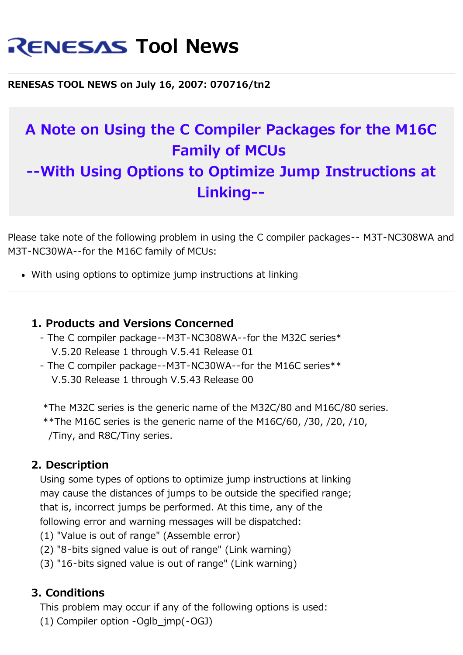# **RENESAS Tool News**

**RENESAS TOOL NEWS on July 16, 2007: 070716/tn2**

# **A Note on Using the C Compiler Packages for the M16C Family of MCUs --With Using Options to Optimize Jump Instructions at Linking--**

Please take note of the following problem in using the C compiler packages-- M3T-NC308WA and M3T-NC30WA--for the M16C family of MCUs:

With using options to optimize jump instructions at linking

# **1. Products and Versions Concerned**

- The C compiler package--M3T-NC308WA--for the M32C series\* V.5.20 Release 1 through V.5.41 Release 01
- The C compiler package--M3T-NC30WA--for the M16C series\*\* V.5.30 Release 1 through V.5.43 Release 00

 \*The M32C series is the generic name of the M32C/80 and M16C/80 series. \*\*The M16C series is the generic name of the M16C/60,  $/30$ ,  $/20$ ,  $/10$ , /Tiny, and R8C/Tiny series.

# **2. Description**

 Using some types of options to optimize jump instructions at linking may cause the distances of jumps to be outside the specified range; that is, incorrect jumps be performed. At this time, any of the following error and warning messages will be dispatched:

- (1) "Value is out of range" (Assemble error)
- (2) "8-bits signed value is out of range" (Link warning)
- (3) "16-bits signed value is out of range" (Link warning)

#### **3. Conditions**

This problem may occur if any of the following options is used:

(1) Compiler option -Oglb\_jmp(-OGJ)